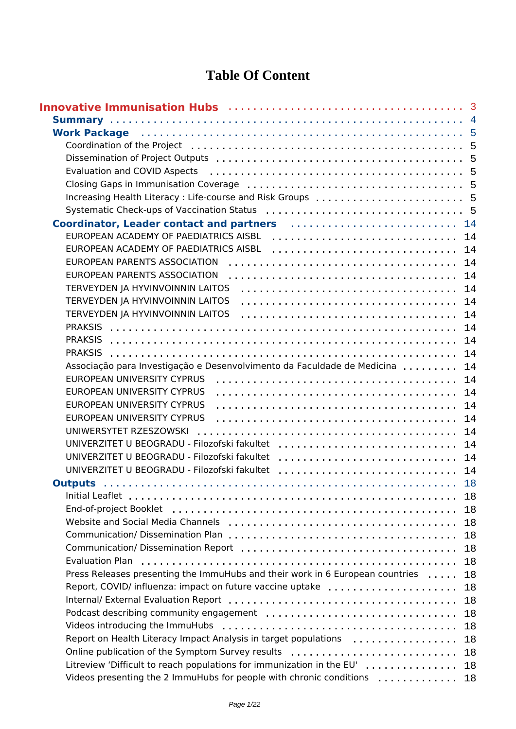### **Table Of Content**

| Innovative Immunisation Hubs (and the contract of the state of the state of the state of the state of the state                                                                                                                |    |
|--------------------------------------------------------------------------------------------------------------------------------------------------------------------------------------------------------------------------------|----|
|                                                                                                                                                                                                                                |    |
| Work Package (and the contract of the contract of the contract of the contract of the contract of the contract of the contract of the contract of the contract of the contract of the contract of the contract of the contract |    |
|                                                                                                                                                                                                                                |    |
|                                                                                                                                                                                                                                |    |
|                                                                                                                                                                                                                                |    |
|                                                                                                                                                                                                                                |    |
| Increasing Health Literacy: Life-course and Risk Groups  5                                                                                                                                                                     |    |
|                                                                                                                                                                                                                                |    |
| Coordinator, Leader contact and partners (and the contract of the 14                                                                                                                                                           |    |
| EUROPEAN ACADEMY OF PAEDIATRICS AISBL  14                                                                                                                                                                                      |    |
| EUROPEAN ACADEMY OF PAEDIATRICS AISBL  14                                                                                                                                                                                      |    |
| EUROPEAN PARENTS ASSOCIATION                                                                                                                                                                                                   | 14 |
| EUROPEAN PARENTS ASSOCIATION                                                                                                                                                                                                   | 14 |
| TERVEYDEN JA HYVINVOINNIN LAITOS                                                                                                                                                                                               | 14 |
| TERVEYDEN JA HYVINVOINNIN LAITOS                                                                                                                                                                                               | 14 |
| TERVEYDEN JA HYVINVOINNIN LAITOS                                                                                                                                                                                               | 14 |
|                                                                                                                                                                                                                                | 14 |
| <b>PRAKSIS</b>                                                                                                                                                                                                                 | 14 |
|                                                                                                                                                                                                                                | 14 |
| Associação para Investigação e Desenvolvimento da Faculdade de Medicina                                                                                                                                                        | 14 |
| EUROPEAN UNIVERSITY CYPRUS                                                                                                                                                                                                     | 14 |
| EUROPEAN UNIVERSITY CYPRUS                                                                                                                                                                                                     | 14 |
| EUROPEAN UNIVERSITY CYPRUS                                                                                                                                                                                                     | 14 |
| EUROPEAN UNIVERSITY CYPRUS                                                                                                                                                                                                     | 14 |
| UNIWERSYTET RZESZOWSKI                                                                                                                                                                                                         | 14 |
| UNIVERZITET U BEOGRADU - Filozofski fakultet                                                                                                                                                                                   | 14 |
| UNIVERZITET U BEOGRADU - Filozofski fakultet                                                                                                                                                                                   | 14 |
| UNIVERZITET U BEOGRADU - Filozofski fakultet                                                                                                                                                                                   | 14 |
|                                                                                                                                                                                                                                |    |
|                                                                                                                                                                                                                                | 18 |
|                                                                                                                                                                                                                                | 18 |
|                                                                                                                                                                                                                                | 18 |
|                                                                                                                                                                                                                                | 18 |
|                                                                                                                                                                                                                                | 18 |
| Evaluation Plan                                                                                                                                                                                                                | 18 |
| Press Releases presenting the ImmuHubs and their work in 6 European countries                                                                                                                                                  | 18 |
| Report, COVID/ influenza: impact on future vaccine uptake                                                                                                                                                                      | 18 |
|                                                                                                                                                                                                                                | 18 |
|                                                                                                                                                                                                                                | 18 |
|                                                                                                                                                                                                                                | 18 |
| Report on Health Literacy Impact Analysis in target populations                                                                                                                                                                | 18 |
| Online publication of the Symptom Survey results                                                                                                                                                                               | 18 |
| Litreview 'Difficult to reach populations for immunization in the EU'                                                                                                                                                          | 18 |
| Videos presenting the 2 ImmuHubs for people with chronic conditions                                                                                                                                                            | 18 |
|                                                                                                                                                                                                                                |    |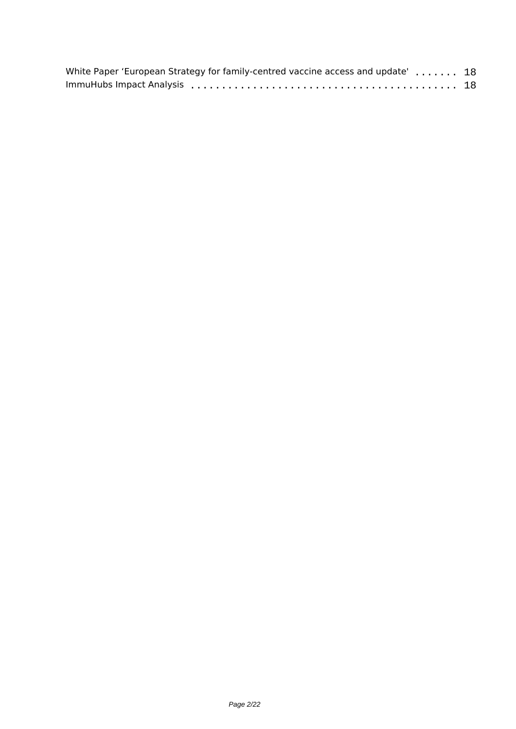| White Paper 'European Strategy for family-centred vaccine access and update' 18 |  |
|---------------------------------------------------------------------------------|--|
|                                                                                 |  |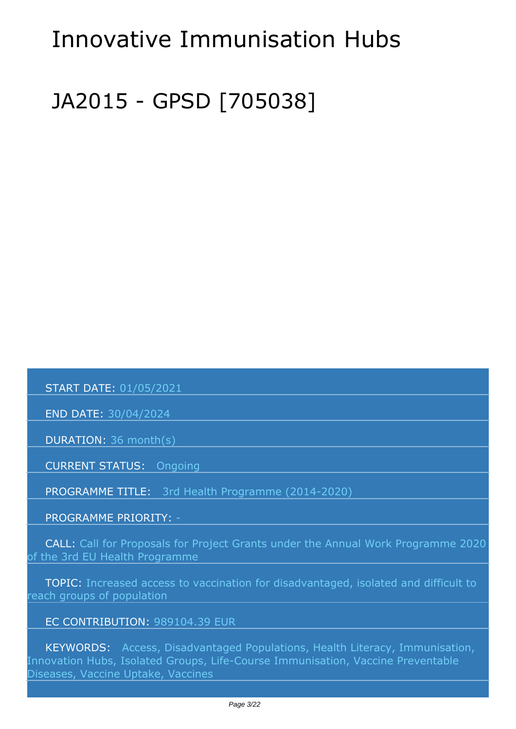# <span id="page-2-0"></span>*Innovative Immunisation Hubs*

# *JA2015 - GPSD [705038]*

 *START DATE: 01/05/2021*

 *END DATE: 30/04/2024*

 *DURATION: 36 month(s)*

 *CURRENT STATUS: Ongoing*

 *PROGRAMME TITLE: 3rd Health Programme (2014-2020)* 

 *PROGRAMME PRIORITY: -*

 *CALL: Call for Proposals for Project Grants under the Annual Work Programme 2020 of the 3rd EU Health Programme*

 *TOPIC: Increased access to vaccination for disadvantaged, isolated and difficult to reach groups of population*

#### *EC CONTRIBUTION: 989104.39 EUR*

 *KEYWORDS: Access, Disadvantaged Populations, Health Literacy, Immunisation, Innovation Hubs, Isolated Groups, Life-Course Immunisation, Vaccine Preventable Diseases, Vaccine Uptake, Vaccines*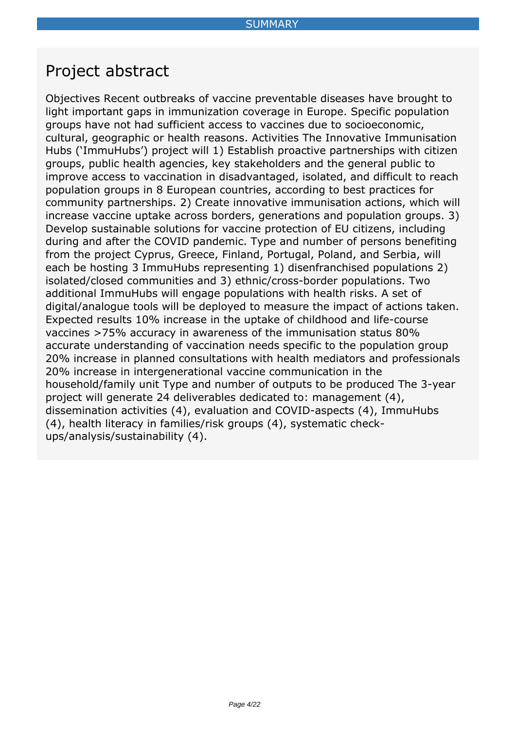### <span id="page-3-0"></span>*Project abstract*

*Objectives Recent outbreaks of vaccine preventable diseases have brought to light important gaps in immunization coverage in Europe. Specific population groups have not had sufficient access to vaccines due to socioeconomic, cultural, geographic or health reasons. Activities The Innovative Immunisation Hubs ('ImmuHubs') project will 1) Establish proactive partnerships with citizen groups, public health agencies, key stakeholders and the general public to improve access to vaccination in disadvantaged, isolated, and difficult to reach population groups in 8 European countries, according to best practices for community partnerships. 2) Create innovative immunisation actions, which will increase vaccine uptake across borders, generations and population groups. 3) Develop sustainable solutions for vaccine protection of EU citizens, including during and after the COVID pandemic. Type and number of persons benefiting from the project Cyprus, Greece, Finland, Portugal, Poland, and Serbia, will each be hosting 3 ImmuHubs representing 1) disenfranchised populations 2) isolated/closed communities and 3) ethnic/cross-border populations. Two additional ImmuHubs will engage populations with health risks. A set of digital/analogue tools will be deployed to measure the impact of actions taken. Expected results 10% increase in the uptake of childhood and life-course vaccines >75% accuracy in awareness of the immunisation status 80% accurate understanding of vaccination needs specific to the population group 20% increase in planned consultations with health mediators and professionals 20% increase in intergenerational vaccine communication in the household/family unit Type and number of outputs to be produced The 3-year project will generate 24 deliverables dedicated to: management (4), dissemination activities (4), evaluation and COVID-aspects (4), ImmuHubs (4), health literacy in families/risk groups (4), systematic checkups/analysis/sustainability (4).*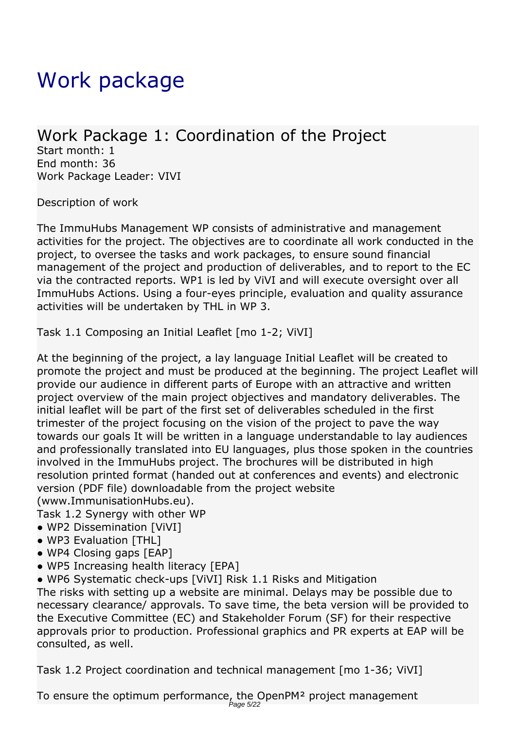# <span id="page-4-0"></span>*Work package*

### *Work Package 1: Coordination of the Project*

*Start month: 1 End month: 36 Work Package Leader: VIVI*

*Description of work*

*The ImmuHubs Management WP consists of administrative and management activities for the project. The objectives are to coordinate all work conducted in the project, to oversee the tasks and work packages, to ensure sound financial management of the project and production of deliverables, and to report to the EC via the contracted reports. WP1 is led by ViVI and will execute oversight over all ImmuHubs Actions. Using a four-eyes principle, evaluation and quality assurance activities will be undertaken by THL in WP 3.*

*Task 1.1 Composing an Initial Leaflet [mo 1-2; ViVI]*

*At the beginning of the project, a lay language Initial Leaflet will be created to promote the project and must be produced at the beginning. The project Leaflet will provide our audience in different parts of Europe with an attractive and written project overview of the main project objectives and mandatory deliverables. The initial leaflet will be part of the first set of deliverables scheduled in the first trimester of the project focusing on the vision of the project to pave the way towards our goals It will be written in a language understandable to lay audiences and professionally translated into EU languages, plus those spoken in the countries involved in the ImmuHubs project. The brochures will be distributed in high resolution printed format (handed out at conferences and events) and electronic version (PDF file) downloadable from the project website (www.ImmunisationHubs.eu).*

*Task 1.2 Synergy with other WP*

- *WP2 Dissemination [ViVI]*
- *WP3 Evaluation [THL]*
- *WP4 Closing gaps [EAP]*
- *WP5 Increasing health literacy [EPA]*

*● WP6 Systematic check-ups [ViVI] Risk 1.1 Risks and Mitigation*

*The risks with setting up a website are minimal. Delays may be possible due to necessary clearance/ approvals. To save time, the beta version will be provided to the Executive Committee (EC) and Stakeholder Forum (SF) for their respective approvals prior to production. Professional graphics and PR experts at EAP will be consulted, as well.*

*Task 1.2 Project coordination and technical management [mo 1-36; ViVI]*

*To ensure the optimum performance, the OpenPM² project management* Page 5/22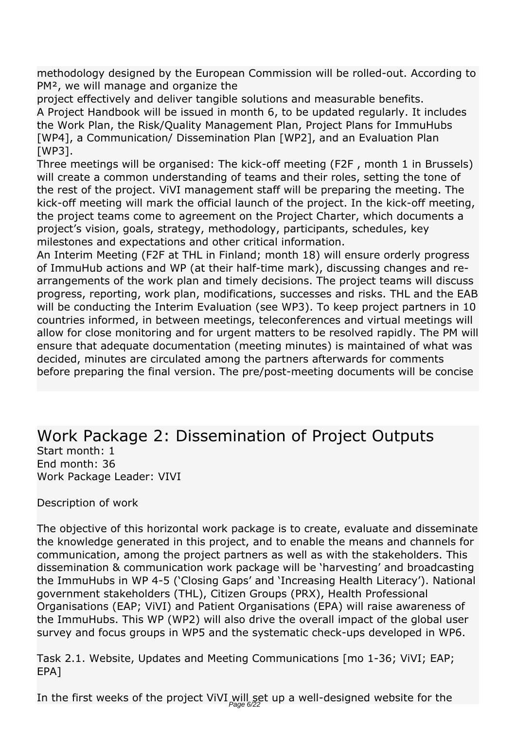*methodology designed by the European Commission will be rolled-out. According to PM², we will manage and organize the*

*project effectively and deliver tangible solutions and measurable benefits. A Project Handbook will be issued in month 6, to be updated regularly. It includes the Work Plan, the Risk/Quality Management Plan, Project Plans for ImmuHubs [WP4], a Communication/ Dissemination Plan [WP2], and an Evaluation Plan [WP3].*

*Three meetings will be organised: The kick-off meeting (F2F , month 1 in Brussels) will create a common understanding of teams and their roles, setting the tone of the rest of the project. ViVI management staff will be preparing the meeting. The kick-off meeting will mark the official launch of the project. In the kick-off meeting, the project teams come to agreement on the Project Charter, which documents a project's vision, goals, strategy, methodology, participants, schedules, key milestones and expectations and other critical information.*

*An Interim Meeting (F2F at THL in Finland; month 18) will ensure orderly progress of ImmuHub actions and WP (at their half-time mark), discussing changes and rearrangements of the work plan and timely decisions. The project teams will discuss progress, reporting, work plan, modifications, successes and risks. THL and the EAB will be conducting the Interim Evaluation (see WP3). To keep project partners in 10 countries informed, in between meetings, teleconferences and virtual meetings will allow for close monitoring and for urgent matters to be resolved rapidly. The PM will ensure that adequate documentation (meeting minutes) is maintained of what was decided, minutes are circulated among the partners afterwards for comments before preparing the final version. The pre/post-meeting documents will be concise*

### *Work Package 2: Dissemination of Project Outputs*

*Start month: 1 End month: 36 Work Package Leader: VIVI*

*Description of work*

*The objective of this horizontal work package is to create, evaluate and disseminate the knowledge generated in this project, and to enable the means and channels for communication, among the project partners as well as with the stakeholders. This dissemination & communication work package will be 'harvesting' and broadcasting the ImmuHubs in WP 4-5 ('Closing Gaps' and 'Increasing Health Literacy'). National government stakeholders (THL), Citizen Groups (PRX), Health Professional Organisations (EAP; ViVI) and Patient Organisations (EPA) will raise awareness of the ImmuHubs. This WP (WP2) will also drive the overall impact of the global user survey and focus groups in WP5 and the systematic check-ups developed in WP6.*

*Task 2.1. Website, Updates and Meeting Communications [mo 1-36; ViVI; EAP; EPA]*

In the first weeks of the project ViVI will set up a well-designed website for the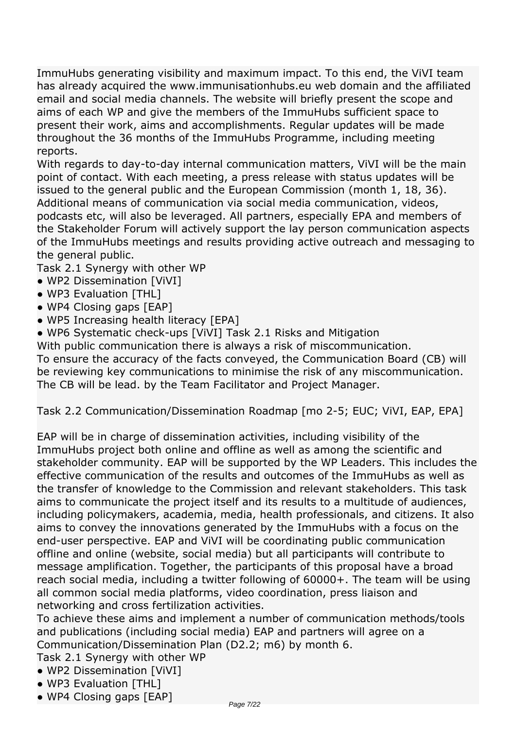*ImmuHubs generating visibility and maximum impact. To this end, the ViVI team has already acquired the www.immunisationhubs.eu web domain and the affiliated email and social media channels. The website will briefly present the scope and aims of each WP and give the members of the ImmuHubs sufficient space to present their work, aims and accomplishments. Regular updates will be made throughout the 36 months of the ImmuHubs Programme, including meeting reports.*

*With regards to day-to-day internal communication matters, ViVI will be the main point of contact. With each meeting, a press release with status updates will be issued to the general public and the European Commission (month 1, 18, 36). Additional means of communication via social media communication, videos, podcasts etc, will also be leveraged. All partners, especially EPA and members of the Stakeholder Forum will actively support the lay person communication aspects of the ImmuHubs meetings and results providing active outreach and messaging to the general public.*

*Task 2.1 Synergy with other WP*

- *WP2 Dissemination [ViVI]*
- *WP3 Evaluation [THL]*
- *WP4 Closing gaps [EAP]*
- *WP5 Increasing health literacy [EPA]*

*● WP6 Systematic check-ups [ViVI] Task 2.1 Risks and Mitigation*

*With public communication there is always a risk of miscommunication.*

*To ensure the accuracy of the facts conveyed, the Communication Board (CB) will be reviewing key communications to minimise the risk of any miscommunication. The CB will be lead. by the Team Facilitator and Project Manager.*

*Task 2.2 Communication/Dissemination Roadmap [mo 2-5; EUC; ViVI, EAP, EPA]*

*EAP will be in charge of dissemination activities, including visibility of the ImmuHubs project both online and offline as well as among the scientific and stakeholder community. EAP will be supported by the WP Leaders. This includes the effective communication of the results and outcomes of the ImmuHubs as well as the transfer of knowledge to the Commission and relevant stakeholders. This task aims to communicate the project itself and its results to a multitude of audiences, including policymakers, academia, media, health professionals, and citizens. It also aims to convey the innovations generated by the ImmuHubs with a focus on the end-user perspective. EAP and ViVI will be coordinating public communication offline and online (website, social media) but all participants will contribute to message amplification. Together, the participants of this proposal have a broad reach social media, including a twitter following of 60000+. The team will be using all common social media platforms, video coordination, press liaison and networking and cross fertilization activities.*

*To achieve these aims and implement a number of communication methods/tools and publications (including social media) EAP and partners will agree on a Communication/Dissemination Plan (D2.2; m6) by month 6.*

*Task 2.1 Synergy with other WP*

- *WP2 Dissemination [ViVI]*
- *WP3 Evaluation [THL]*
- *WP4 Closing gaps [EAP]*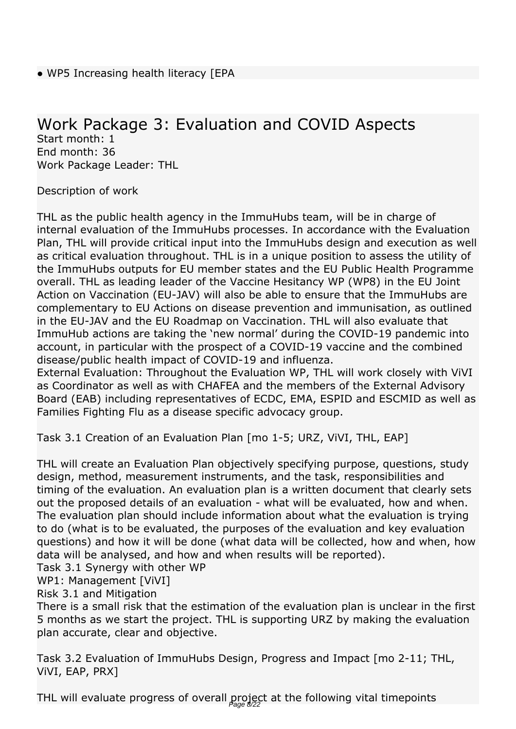### *Work Package 3: Evaluation and COVID Aspects*

*Start month: 1 End month: 36 Work Package Leader: THL*

*Description of work*

*THL as the public health agency in the ImmuHubs team, will be in charge of internal evaluation of the ImmuHubs processes. In accordance with the Evaluation Plan, THL will provide critical input into the ImmuHubs design and execution as well as critical evaluation throughout. THL is in a unique position to assess the utility of the ImmuHubs outputs for EU member states and the EU Public Health Programme overall. THL as leading leader of the Vaccine Hesitancy WP (WP8) in the EU Joint Action on Vaccination (EU-JAV) will also be able to ensure that the ImmuHubs are complementary to EU Actions on disease prevention and immunisation, as outlined in the EU-JAV and the EU Roadmap on Vaccination. THL will also evaluate that ImmuHub actions are taking the 'new normal' during the COVID-19 pandemic into account, in particular with the prospect of a COVID-19 vaccine and the combined disease/public health impact of COVID-19 and influenza.*

*External Evaluation: Throughout the Evaluation WP, THL will work closely with ViVI as Coordinator as well as with CHAFEA and the members of the External Advisory Board (EAB) including representatives of ECDC, EMA, ESPID and ESCMID as well as Families Fighting Flu as a disease specific advocacy group.*

*Task 3.1 Creation of an Evaluation Plan [mo 1-5; URZ, ViVI, THL, EAP]*

*THL will create an Evaluation Plan objectively specifying purpose, questions, study design, method, measurement instruments, and the task, responsibilities and timing of the evaluation. An evaluation plan is a written document that clearly sets out the proposed details of an evaluation - what will be evaluated, how and when. The evaluation plan should include information about what the evaluation is trying to do (what is to be evaluated, the purposes of the evaluation and key evaluation questions) and how it will be done (what data will be collected, how and when, how data will be analysed, and how and when results will be reported).*

*Task 3.1 Synergy with other WP*

*WP1: Management [ViVI]*

*Risk 3.1 and Mitigation*

*There is a small risk that the estimation of the evaluation plan is unclear in the first 5 months as we start the project. THL is supporting URZ by making the evaluation plan accurate, clear and objective.*

*Task 3.2 Evaluation of ImmuHubs Design, Progress and Impact [mo 2-11; THL, ViVI, EAP, PRX]*

*THL will evaluate progress of overall project at the following vital timepoints* Page 8/22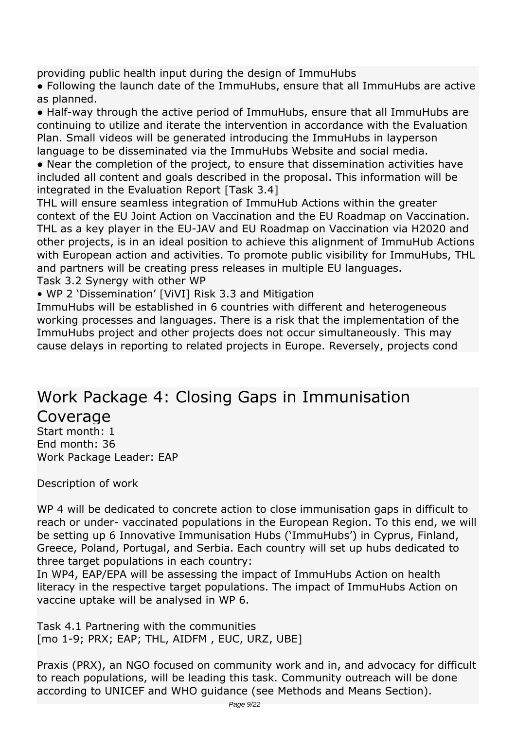*providing public health input during the design of ImmuHubs*

*● Following the launch date of the ImmuHubs, ensure that all ImmuHubs are active as planned.*

*● Half-way through the active period of ImmuHubs, ensure that all ImmuHubs are continuing to utilize and iterate the intervention in accordance with the Evaluation Plan. Small videos will be generated introducing the ImmuHubs in layperson language to be disseminated via the ImmuHubs Website and social media.*

*● Near the completion of the project, to ensure that dissemination activities have included all content and goals described in the proposal. This information will be integrated in the Evaluation Report [Task 3.4]*

*THL will ensure seamless integration of ImmuHub Actions within the greater context of the EU Joint Action on Vaccination and the EU Roadmap on Vaccination. THL as a key player in the EU-JAV and EU Roadmap on Vaccination via H2020 and other projects, is in an ideal position to achieve this alignment of ImmuHub Actions with European action and activities. To promote public visibility for ImmuHubs, THL and partners will be creating press releases in multiple EU languages.*

*Task 3.2 Synergy with other WP*

*• WP 2 'Dissemination' [ViVI] Risk 3.3 and Mitigation*

*ImmuHubs will be established in 6 countries with different and heterogeneous working processes and languages. There is a risk that the implementation of the ImmuHubs project and other projects does not occur simultaneously. This may cause delays in reporting to related projects in Europe. Reversely, projects cond* 

### *Work Package 4: Closing Gaps in Immunisation Coverage*

*Start month: 1 End month: 36 Work Package Leader: EAP*

*Description of work*

*WP 4 will be dedicated to concrete action to close immunisation gaps in difficult to reach or under- vaccinated populations in the European Region. To this end, we will be setting up 6 Innovative Immunisation Hubs ('ImmuHubs') in Cyprus, Finland, Greece, Poland, Portugal, and Serbia. Each country will set up hubs dedicated to three target populations in each country:*

*In WP4, EAP/EPA will be assessing the impact of ImmuHubs Action on health literacy in the respective target populations. The impact of ImmuHubs Action on vaccine uptake will be analysed in WP 6.*

*Task 4.1 Partnering with the communities [mo 1-9; PRX; EAP; THL, AIDFM , EUC, URZ, UBE]*

*Praxis (PRX), an NGO focused on community work and in, and advocacy for difficult to reach populations, will be leading this task. Community outreach will be done according to UNICEF and WHO guidance (see Methods and Means Section).*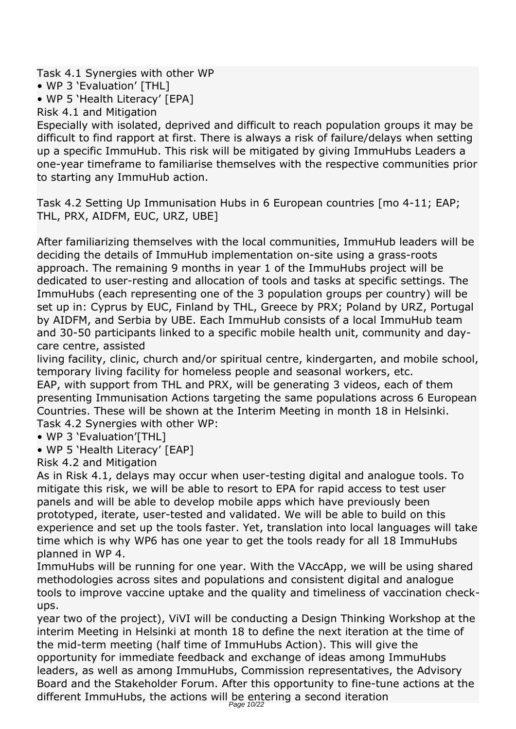*Task 4.1 Synergies with other WP*

*• WP 3 'Evaluation' [THL]*

*• WP 5 'Health Literacy' [EPA]*

*Risk 4.1 and Mitigation*

*Especially with isolated, deprived and difficult to reach population groups it may be difficult to find rapport at first. There is always a risk of failure/delays when setting up a specific ImmuHub. This risk will be mitigated by giving ImmuHubs Leaders a one-year timeframe to familiarise themselves with the respective communities prior to starting any ImmuHub action.*

*Task 4.2 Setting Up Immunisation Hubs in 6 European countries [mo 4-11; EAP; THL, PRX, AIDFM, EUC, URZ, UBE]*

*After familiarizing themselves with the local communities, ImmuHub leaders will be deciding the details of ImmuHub implementation on-site using a grass-roots approach. The remaining 9 months in year 1 of the ImmuHubs project will be dedicated to user-resting and allocation of tools and tasks at specific settings. The ImmuHubs (each representing one of the 3 population groups per country) will be set up in: Cyprus by EUC, Finland by THL, Greece by PRX; Poland by URZ, Portugal by AIDFM, and Serbia by UBE. Each ImmuHub consists of a local ImmuHub team and 30-50 participants linked to a specific mobile health unit, community and daycare centre, assisted*

*living facility, clinic, church and/or spiritual centre, kindergarten, and mobile school, temporary living facility for homeless people and seasonal workers, etc.*

*EAP, with support from THL and PRX, will be generating 3 videos, each of them presenting Immunisation Actions targeting the same populations across 6 European Countries. These will be shown at the Interim Meeting in month 18 in Helsinki. Task 4.2 Synergies with other WP:*

- *WP 3 'Evaluation'[THL]*
- *WP 5 'Health Literacy' [EAP]*

*Risk 4.2 and Mitigation*

*As in Risk 4.1, delays may occur when user-testing digital and analogue tools. To mitigate this risk, we will be able to resort to EPA for rapid access to test user panels and will be able to develop mobile apps which have previously been prototyped, iterate, user-tested and validated. We will be able to build on this experience and set up the tools faster. Yet, translation into local languages will take time which is why WP6 has one year to get the tools ready for all 18 ImmuHubs planned in WP 4.*

*ImmuHubs will be running for one year. With the VAccApp, we will be using shared methodologies across sites and populations and consistent digital and analogue tools to improve vaccine uptake and the quality and timeliness of vaccination checkups.*

*year two of the project), ViVI will be conducting a Design Thinking Workshop at the interim Meeting in Helsinki at month 18 to define the next iteration at the time of the mid-term meeting (half time of ImmuHubs Action). This will give the opportunity for immediate feedback and exchange of ideas among ImmuHubs leaders, as well as among ImmuHubs, Commission representatives, the Advisory Board and the Stakeholder Forum. After this opportunity to fine-tune actions at the different ImmuHubs, the actions will be entering a second iteration*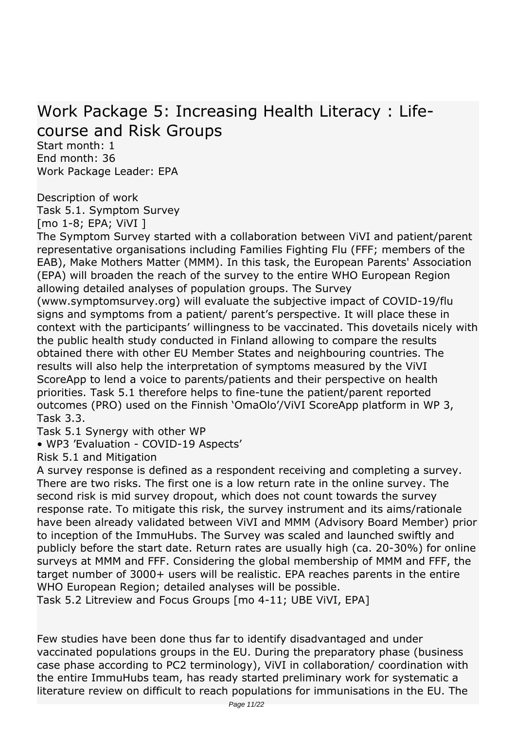### *Work Package 5: Increasing Health Literacy : Lifecourse and Risk Groups*

*Start month: 1 End month: 36 Work Package Leader: EPA*

*Description of work Task 5.1. Symptom Survey [mo 1-8; EPA; ViVI ]*

*The Symptom Survey started with a collaboration between ViVI and patient/parent representative organisations including Families Fighting Flu (FFF; members of the EAB), Make Mothers Matter (MMM). In this task, the European Parents' Association (EPA) will broaden the reach of the survey to the entire WHO European Region allowing detailed analyses of population groups. The Survey*

*(www.symptomsurvey.org) will evaluate the subjective impact of COVID-19/flu signs and symptoms from a patient/ parent's perspective. It will place these in context with the participants' willingness to be vaccinated. This dovetails nicely with the public health study conducted in Finland allowing to compare the results obtained there with other EU Member States and neighbouring countries. The results will also help the interpretation of symptoms measured by the ViVI ScoreApp to lend a voice to parents/patients and their perspective on health priorities. Task 5.1 therefore helps to fine-tune the patient/parent reported outcomes (PRO) used on the Finnish 'OmaOlo'/ViVI ScoreApp platform in WP 3, Task 3.3.*

*Task 5.1 Synergy with other WP*

*• WP3 'Evaluation - COVID-19 Aspects'*

*Risk 5.1 and Mitigation*

*A survey response is defined as a respondent receiving and completing a survey. There are two risks. The first one is a low return rate in the online survey. The second risk is mid survey dropout, which does not count towards the survey response rate. To mitigate this risk, the survey instrument and its aims/rationale have been already validated between ViVI and MMM (Advisory Board Member) prior to inception of the ImmuHubs. The Survey was scaled and launched swiftly and publicly before the start date. Return rates are usually high (ca. 20-30%) for online surveys at MMM and FFF. Considering the global membership of MMM and FFF, the target number of 3000+ users will be realistic. EPA reaches parents in the entire WHO European Region; detailed analyses will be possible.*

*Task 5.2 Litreview and Focus Groups [mo 4-11; UBE ViVI, EPA]*

*Few studies have been done thus far to identify disadvantaged and under vaccinated populations groups in the EU. During the preparatory phase (business case phase according to PC2 terminology), ViVI in collaboration/ coordination with the entire ImmuHubs team, has ready started preliminary work for systematic a literature review on difficult to reach populations for immunisations in the EU. The*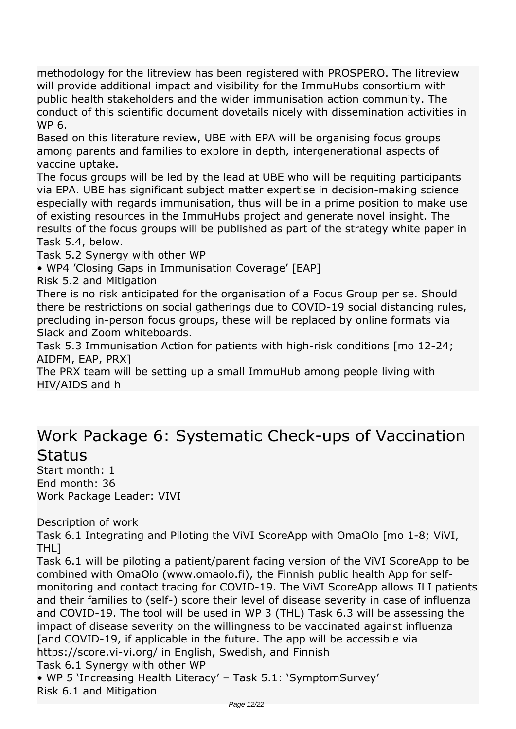*methodology for the litreview has been registered with PROSPERO. The litreview will provide additional impact and visibility for the ImmuHubs consortium with public health stakeholders and the wider immunisation action community. The conduct of this scientific document dovetails nicely with dissemination activities in WP 6.*

*Based on this literature review, UBE with EPA will be organising focus groups among parents and families to explore in depth, intergenerational aspects of vaccine uptake.*

*The focus groups will be led by the lead at UBE who will be requiting participants via EPA. UBE has significant subject matter expertise in decision-making science especially with regards immunisation, thus will be in a prime position to make use of existing resources in the ImmuHubs project and generate novel insight. The results of the focus groups will be published as part of the strategy white paper in Task 5.4, below.*

*Task 5.2 Synergy with other WP*

*• WP4 'Closing Gaps in Immunisation Coverage' [EAP]*

*Risk 5.2 and Mitigation*

*There is no risk anticipated for the organisation of a Focus Group per se. Should there be restrictions on social gatherings due to COVID-19 social distancing rules, precluding in-person focus groups, these will be replaced by online formats via Slack and Zoom whiteboards.*

*Task 5.3 Immunisation Action for patients with high-risk conditions [mo 12-24; AIDFM, EAP, PRX]*

*The PRX team will be setting up a small ImmuHub among people living with HIV/AIDS and h* 

### *Work Package 6: Systematic Check-ups of Vaccination Status*

*Start month: 1 End month: 36 Work Package Leader: VIVI*

*Description of work*

*Task 6.1 Integrating and Piloting the ViVI ScoreApp with OmaOlo [mo 1-8; ViVI, THL]*

*Task 6.1 will be piloting a patient/parent facing version of the ViVI ScoreApp to be combined with OmaOlo (www.omaolo.fi), the Finnish public health App for selfmonitoring and contact tracing for COVID-19. The ViVI ScoreApp allows ILI patients and their families to (self-) score their level of disease severity in case of influenza and COVID-19. The tool will be used in WP 3 (THL) Task 6.3 will be assessing the impact of disease severity on the willingness to be vaccinated against influenza [and COVID-19, if applicable in the future. The app will be accessible via https://score.vi-vi.org/ in English, Swedish, and Finnish Task 6.1 Synergy with other WP*

*• WP 5 'Increasing Health Literacy' – Task 5.1: 'SymptomSurvey' Risk 6.1 and Mitigation*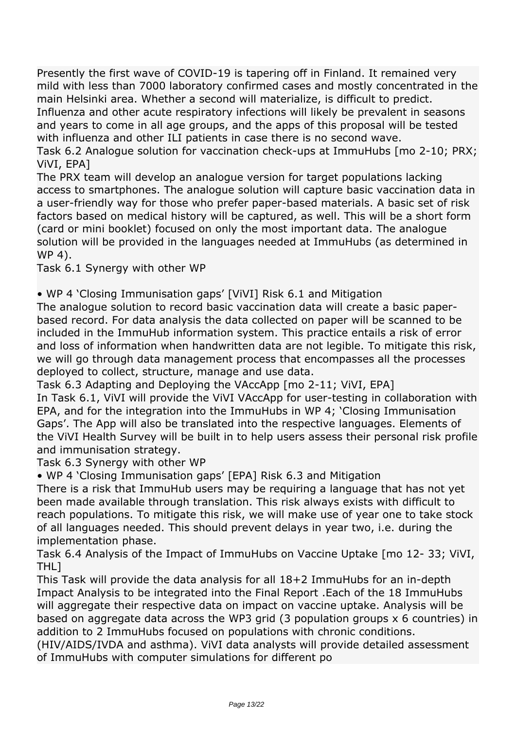*Presently the first wave of COVID-19 is tapering off in Finland. It remained very mild with less than 7000 laboratory confirmed cases and mostly concentrated in the main Helsinki area. Whether a second will materialize, is difficult to predict. Influenza and other acute respiratory infections will likely be prevalent in seasons and years to come in all age groups, and the apps of this proposal will be tested with influenza and other ILI patients in case there is no second wave.*

*Task 6.2 Analogue solution for vaccination check-ups at ImmuHubs [mo 2-10; PRX; ViVI, EPA]*

*The PRX team will develop an analogue version for target populations lacking access to smartphones. The analogue solution will capture basic vaccination data in a user-friendly way for those who prefer paper-based materials. A basic set of risk factors based on medical history will be captured, as well. This will be a short form (card or mini booklet) focused on only the most important data. The analogue solution will be provided in the languages needed at ImmuHubs (as determined in WP 4).*

*Task 6.1 Synergy with other WP*

*• WP 4 'Closing Immunisation gaps' [ViVI] Risk 6.1 and Mitigation*

*The analogue solution to record basic vaccination data will create a basic paperbased record. For data analysis the data collected on paper will be scanned to be included in the ImmuHub information system. This practice entails a risk of error and loss of information when handwritten data are not legible. To mitigate this risk, we will go through data management process that encompasses all the processes deployed to collect, structure, manage and use data.*

*Task 6.3 Adapting and Deploying the VAccApp [mo 2-11; ViVI, EPA]*

*In Task 6.1, ViVI will provide the ViVI VAccApp for user-testing in collaboration with EPA, and for the integration into the ImmuHubs in WP 4; 'Closing Immunisation Gaps'. The App will also be translated into the respective languages. Elements of the ViVI Health Survey will be built in to help users assess their personal risk profile and immunisation strategy.*

*Task 6.3 Synergy with other WP*

*• WP 4 'Closing Immunisation gaps' [EPA] Risk 6.3 and Mitigation*

*There is a risk that ImmuHub users may be requiring a language that has not yet been made available through translation. This risk always exists with difficult to reach populations. To mitigate this risk, we will make use of year one to take stock of all languages needed. This should prevent delays in year two, i.e. during the implementation phase.*

*Task 6.4 Analysis of the Impact of ImmuHubs on Vaccine Uptake [mo 12- 33; ViVI, THL]*

*This Task will provide the data analysis for all 18+2 ImmuHubs for an in-depth Impact Analysis to be integrated into the Final Report .Each of the 18 ImmuHubs will aggregate their respective data on impact on vaccine uptake. Analysis will be based on aggregate data across the WP3 grid (3 population groups x 6 countries) in addition to 2 ImmuHubs focused on populations with chronic conditions.*

*(HIV/AIDS/IVDA and asthma). ViVI data analysts will provide detailed assessment of ImmuHubs with computer simulations for different po*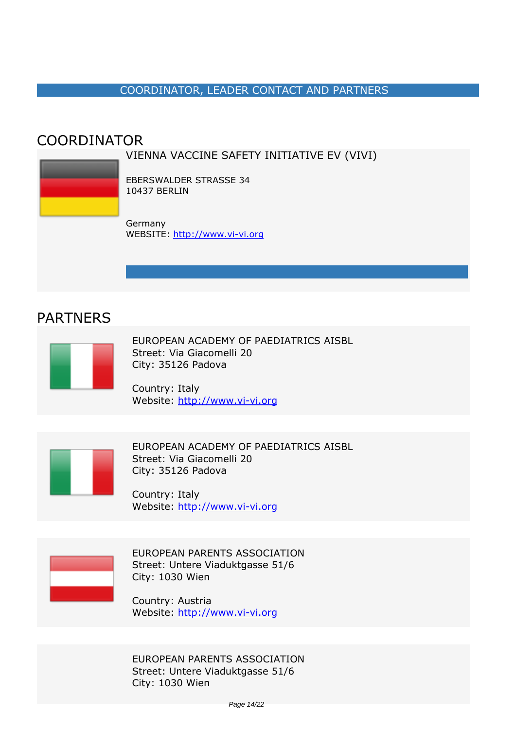#### *COORDINATOR, LEADER CONTACT AND PARTNERS*

### <span id="page-13-0"></span>*COORDINATOR*

#### *VIENNA VACCINE SAFETY INITIATIVE EV (VIVI)*



*EBERSWALDER STRASSE 34 10437 BERLIN*

*Germany WEBSITE:* <http://www.vi-vi.org>

### *PARTNERS*



*EUROPEAN ACADEMY OF PAEDIATRICS AISBL Street: Via Giacomelli 20 City: 35126 Padova*

*Country: Italy Website:* http://www.vi-vi.org



*EUROPEAN ACADEMY OF PAEDIATRICS AISBL Street: Via Giacomelli 20 City: 35126 Padova*

*Country: Italy Website:* http://www.vi-vi.org



*EUROPEAN PARENTS ASSOCIATION Street: Untere Viaduktgasse 51/6 City: 1030 Wien*

*Country: Austria Website:* http://www.vi-vi.org

*EUROPEAN PARENTS ASSOCIATION Street: Untere Viaduktgasse 51/6 City: 1030 Wien*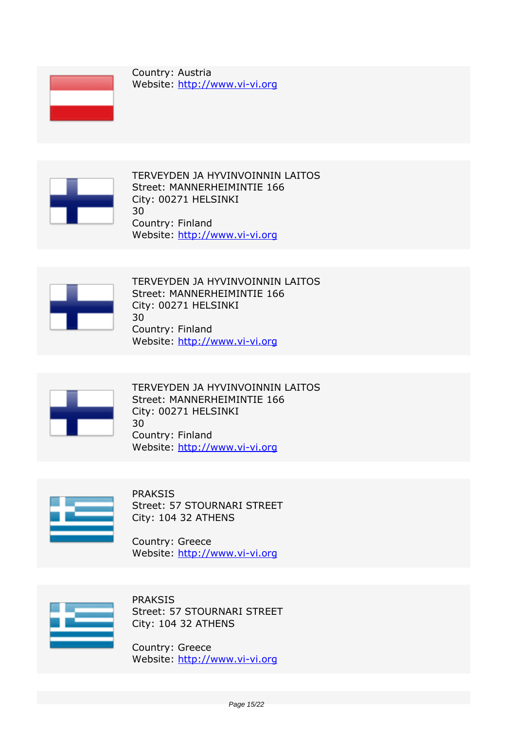

*Country: Austria Website:* http://www.vi-vi.org



*TERVEYDEN JA HYVINVOINNIN LAITOS Street: MANNERHEIMINTIE 166 City: 00271 HELSINKI 30 Country: Finland Website:* http://www.vi-vi.org



*TERVEYDEN JA HYVINVOINNIN LAITOS Street: MANNERHEIMINTIE 166 City: 00271 HELSINKI 30 Country: Finland Website:* http://www.vi-vi.org



*TERVEYDEN JA HYVINVOINNIN LAITOS Street: MANNERHEIMINTIE 166 City: 00271 HELSINKI 30 Country: Finland Website:* http://www.vi-vi.org



*PRAKSIS Street: 57 STOURNARI STREET City: 104 32 ATHENS*

*Country: Greece Website:* http://www.vi-vi.org



*PRAKSIS Street: 57 STOURNARI STREET City: 104 32 ATHENS*

*Country: Greece Website:* http://www.vi-vi.org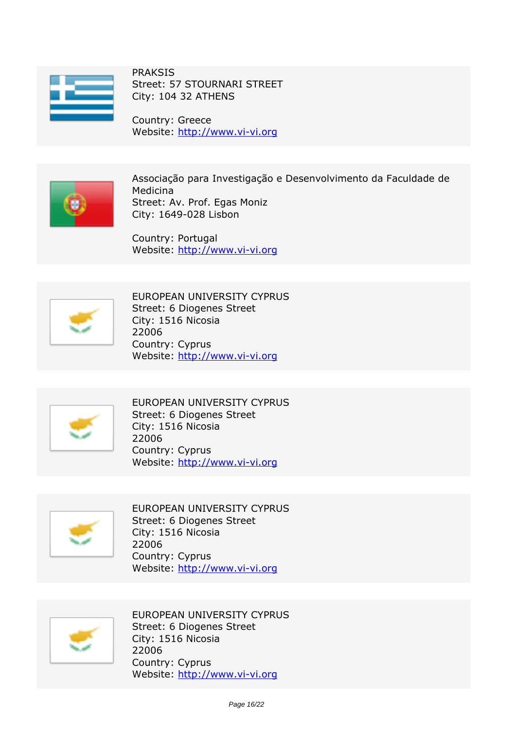

*PRAKSIS Street: 57 STOURNARI STREET City: 104 32 ATHENS*

*Country: Greece Website:* http://www.vi-vi.org



*Associação para Investigação e Desenvolvimento da Faculdade de Medicina Street: Av. Prof. Egas Moniz City: 1649-028 Lisbon*

*Country: Portugal Website:* http://www.vi-vi.org



*EUROPEAN UNIVERSITY CYPRUS Street: 6 Diogenes Street City: 1516 Nicosia 22006 Country: Cyprus Website:* http://www.vi-vi.org



*EUROPEAN UNIVERSITY CYPRUS Street: 6 Diogenes Street City: 1516 Nicosia 22006 Country: Cyprus Website:* http://www.vi-vi.org



*EUROPEAN UNIVERSITY CYPRUS Street: 6 Diogenes Street City: 1516 Nicosia 22006 Country: Cyprus Website:* http://www.vi-vi.org



*EUROPEAN UNIVERSITY CYPRUS Street: 6 Diogenes Street City: 1516 Nicosia 22006 Country: Cyprus Website:* http://www.vi-vi.org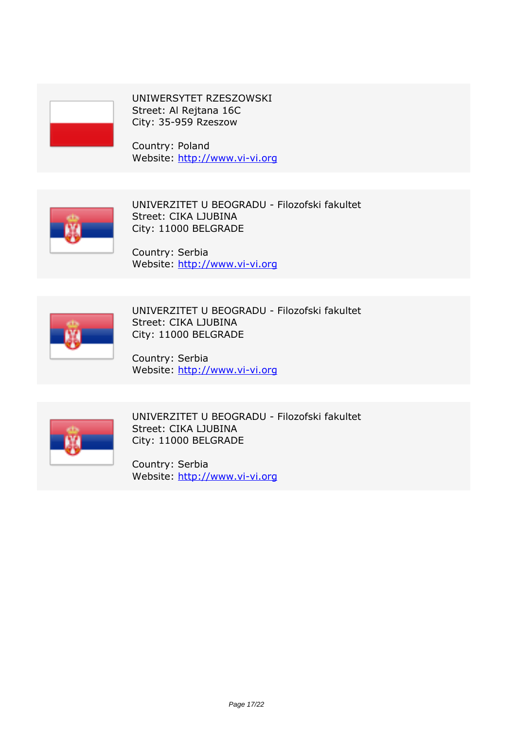

*UNIWERSYTET RZESZOWSKI Street: Al Rejtana 16C City: 35-959 Rzeszow*

*Country: Poland Website:* http://www.vi-vi.org



*UNIVERZITET U BEOGRADU - Filozofski fakultet Street: CIKA LJUBINA City: 11000 BELGRADE*

*Country: Serbia Website:* http://www.vi-vi.org



*UNIVERZITET U BEOGRADU - Filozofski fakultet Street: CIKA LJUBINA City: 11000 BELGRADE*

*Country: Serbia Website:* http://www.vi-vi.org



*UNIVERZITET U BEOGRADU - Filozofski fakultet Street: CIKA LJUBINA City: 11000 BELGRADE*

*Country: Serbia Website:* http://www.vi-vi.org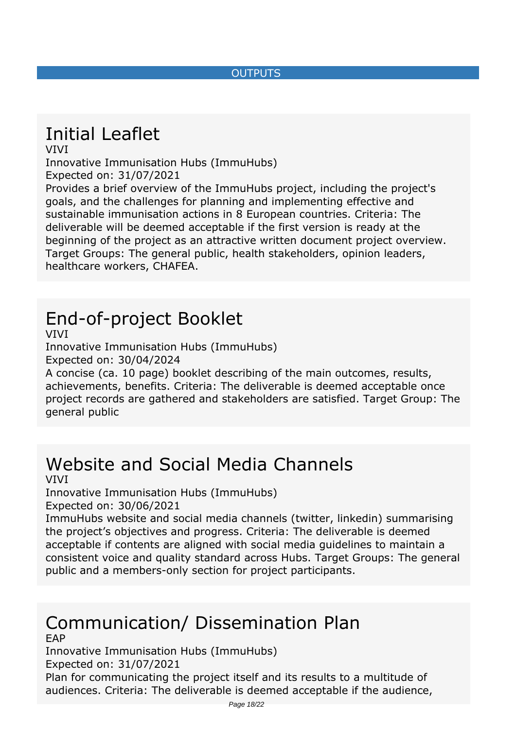#### *OUTPUTS*

## <span id="page-17-0"></span>*Initial Leaflet*

*VIVI*

*Innovative Immunisation Hubs (ImmuHubs) Expected on: 31/07/2021*

*Provides a brief overview of the ImmuHubs project, including the project's goals, and the challenges for planning and implementing effective and sustainable immunisation actions in 8 European countries. Criteria: The deliverable will be deemed acceptable if the first version is ready at the beginning of the project as an attractive written document project overview. Target Groups: The general public, health stakeholders, opinion leaders, healthcare workers, CHAFEA.*

## *End-of-project Booklet*

*VIVI*

*Innovative Immunisation Hubs (ImmuHubs) Expected on: 30/04/2024*

*A concise (ca. 10 page) booklet describing of the main outcomes, results, achievements, benefits. Criteria: The deliverable is deemed acceptable once project records are gathered and stakeholders are satisfied. Target Group: The general public*

# *Website and Social Media Channels*

#### *VIVI*

*Innovative Immunisation Hubs (ImmuHubs)*

*Expected on: 30/06/2021*

*ImmuHubs website and social media channels (twitter, linkedin) summarising the project's objectives and progress. Criteria: The deliverable is deemed acceptable if contents are aligned with social media guidelines to maintain a consistent voice and quality standard across Hubs. Target Groups: The general public and a members-only section for project participants.*

#### *Communication/ Dissemination Plan EAP*

*Innovative Immunisation Hubs (ImmuHubs)*

*Expected on: 31/07/2021*

*Plan for communicating the project itself and its results to a multitude of audiences. Criteria: The deliverable is deemed acceptable if the audience,*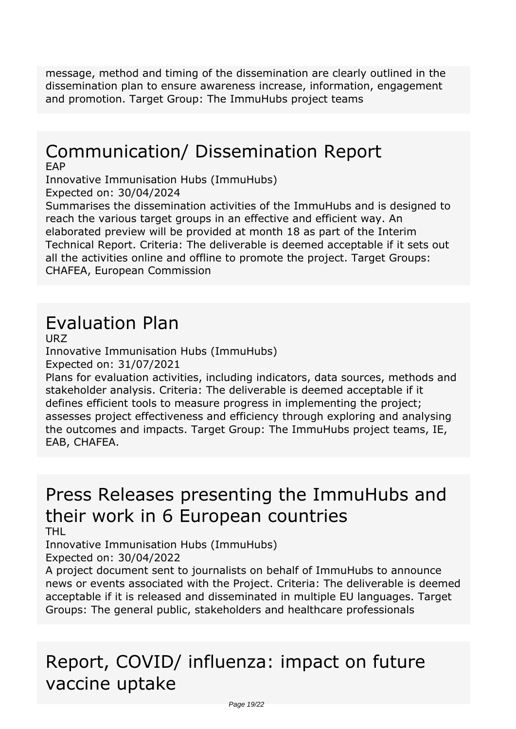*message, method and timing of the dissemination are clearly outlined in the dissemination plan to ensure awareness increase, information, engagement and promotion. Target Group: The ImmuHubs project teams*

## *Communication/ Dissemination Report*

*EAP*

*Innovative Immunisation Hubs (ImmuHubs) Expected on: 30/04/2024*

*Summarises the dissemination activities of the ImmuHubs and is designed to reach the various target groups in an effective and efficient way. An elaborated preview will be provided at month 18 as part of the Interim Technical Report. Criteria: The deliverable is deemed acceptable if it sets out all the activities online and offline to promote the project. Target Groups: CHAFEA, European Commission*

## *Evaluation Plan*

*URZ*

*Innovative Immunisation Hubs (ImmuHubs) Expected on: 31/07/2021*

*Plans for evaluation activities, including indicators, data sources, methods and stakeholder analysis. Criteria: The deliverable is deemed acceptable if it defines efficient tools to measure progress in implementing the project; assesses project effectiveness and efficiency through exploring and analysing the outcomes and impacts. Target Group: The ImmuHubs project teams, IE, EAB, CHAFEA.*

## *Press Releases presenting the ImmuHubs and their work in 6 European countries*

*THL*

*Innovative Immunisation Hubs (ImmuHubs) Expected on: 30/04/2022*

*A project document sent to journalists on behalf of ImmuHubs to announce news or events associated with the Project. Criteria: The deliverable is deemed acceptable if it is released and disseminated in multiple EU languages. Target Groups: The general public, stakeholders and healthcare professionals*

## *Report, COVID/ influenza: impact on future vaccine uptake*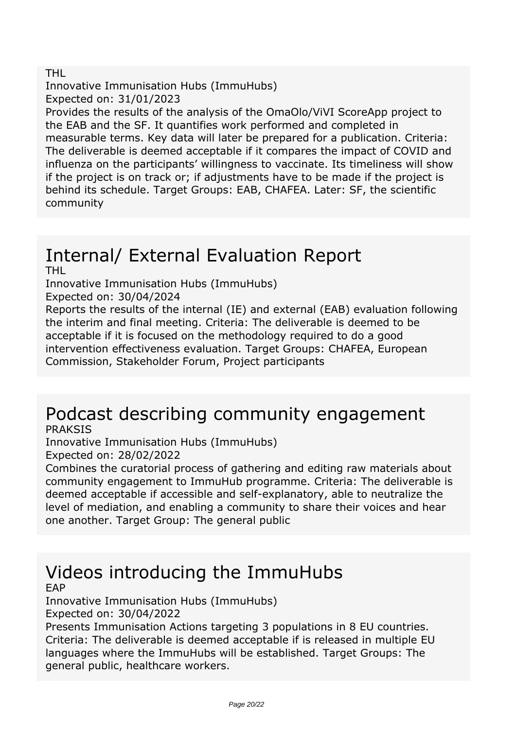#### *THL*

*Innovative Immunisation Hubs (ImmuHubs) Expected on: 31/01/2023*

*Provides the results of the analysis of the OmaOlo/ViVI ScoreApp project to the EAB and the SF. It quantifies work performed and completed in measurable terms. Key data will later be prepared for a publication. Criteria: The deliverable is deemed acceptable if it compares the impact of COVID and influenza on the participants' willingness to vaccinate. Its timeliness will show if the project is on track or; if adjustments have to be made if the project is behind its schedule. Target Groups: EAB, CHAFEA. Later: SF, the scientific community*

#### *Internal/ External Evaluation Report THL*

*Innovative Immunisation Hubs (ImmuHubs)*

*Expected on: 30/04/2024*

*Reports the results of the internal (IE) and external (EAB) evaluation following the interim and final meeting. Criteria: The deliverable is deemed to be acceptable if it is focused on the methodology required to do a good intervention effectiveness evaluation. Target Groups: CHAFEA, European Commission, Stakeholder Forum, Project participants*

### *Podcast describing community engagement PRAKSIS*

*Innovative Immunisation Hubs (ImmuHubs) Expected on: 28/02/2022*

*Combines the curatorial process of gathering and editing raw materials about community engagement to ImmuHub programme. Criteria: The deliverable is deemed acceptable if accessible and self-explanatory, able to neutralize the level of mediation, and enabling a community to share their voices and hear one another. Target Group: The general public*

#### *Videos introducing the ImmuHubs EAP*

*Innovative Immunisation Hubs (ImmuHubs) Expected on: 30/04/2022*

*Presents Immunisation Actions targeting 3 populations in 8 EU countries. Criteria: The deliverable is deemed acceptable if is released in multiple EU languages where the ImmuHubs will be established. Target Groups: The general public, healthcare workers.*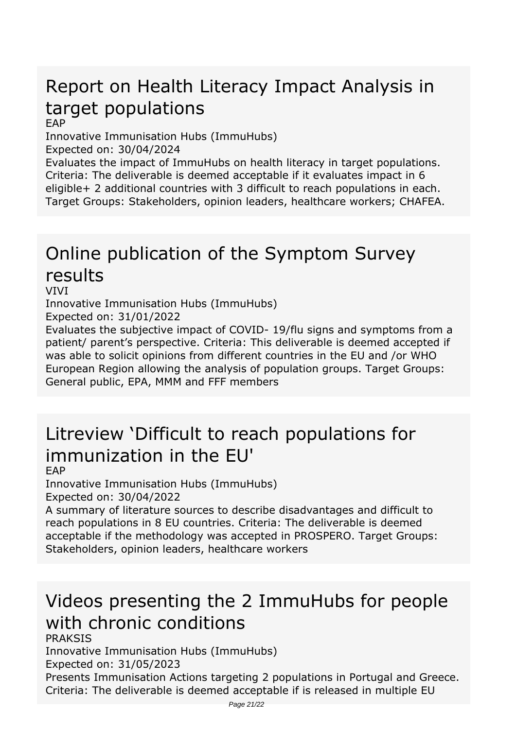## *Report on Health Literacy Impact Analysis in target populations*

*EAP*

*Innovative Immunisation Hubs (ImmuHubs)*

*Expected on: 30/04/2024*

*Evaluates the impact of ImmuHubs on health literacy in target populations. Criteria: The deliverable is deemed acceptable if it evaluates impact in 6 eligible+ 2 additional countries with 3 difficult to reach populations in each. Target Groups: Stakeholders, opinion leaders, healthcare workers; CHAFEA.*

## *Online publication of the Symptom Survey results*

*VIVI*

*Innovative Immunisation Hubs (ImmuHubs) Expected on: 31/01/2022*

*Evaluates the subjective impact of COVID- 19/flu signs and symptoms from a patient/ parent's perspective. Criteria: This deliverable is deemed accepted if was able to solicit opinions from different countries in the EU and /or WHO European Region allowing the analysis of population groups. Target Groups:*

*General public, EPA, MMM and FFF members*

## *Litreview 'Difficult to reach populations for immunization in the EU'*

#### *EAP*

*Innovative Immunisation Hubs (ImmuHubs) Expected on: 30/04/2022*

*A summary of literature sources to describe disadvantages and difficult to reach populations in 8 EU countries. Criteria: The deliverable is deemed acceptable if the methodology was accepted in PROSPERO. Target Groups: Stakeholders, opinion leaders, healthcare workers*

## *Videos presenting the 2 ImmuHubs for people with chronic conditions*

*PRAKSIS*

*Innovative Immunisation Hubs (ImmuHubs) Expected on: 31/05/2023*

*Presents Immunisation Actions targeting 2 populations in Portugal and Greece. Criteria: The deliverable is deemed acceptable if is released in multiple EU*